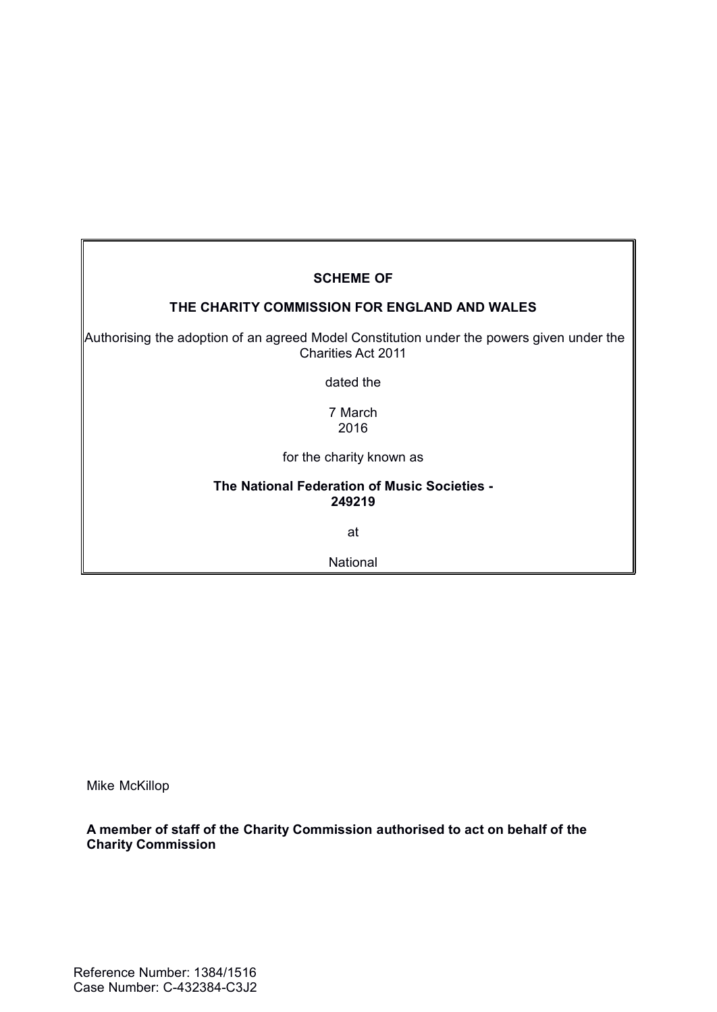# **SCHEME OF**

#### **THE CHARITY COMMISSION FOR ENGLAND AND WALES**

 Authorising the adoption of an agreed Model Constitution under the powers given under the Charities Act 2011

dated the

7 March 2016

for the charity known as

#### **The National Federation of Music Societies - 249219**

at

National

Mike McKillop

**A member of staff of the Charity Commission authorised to act on behalf of the Charity Commission**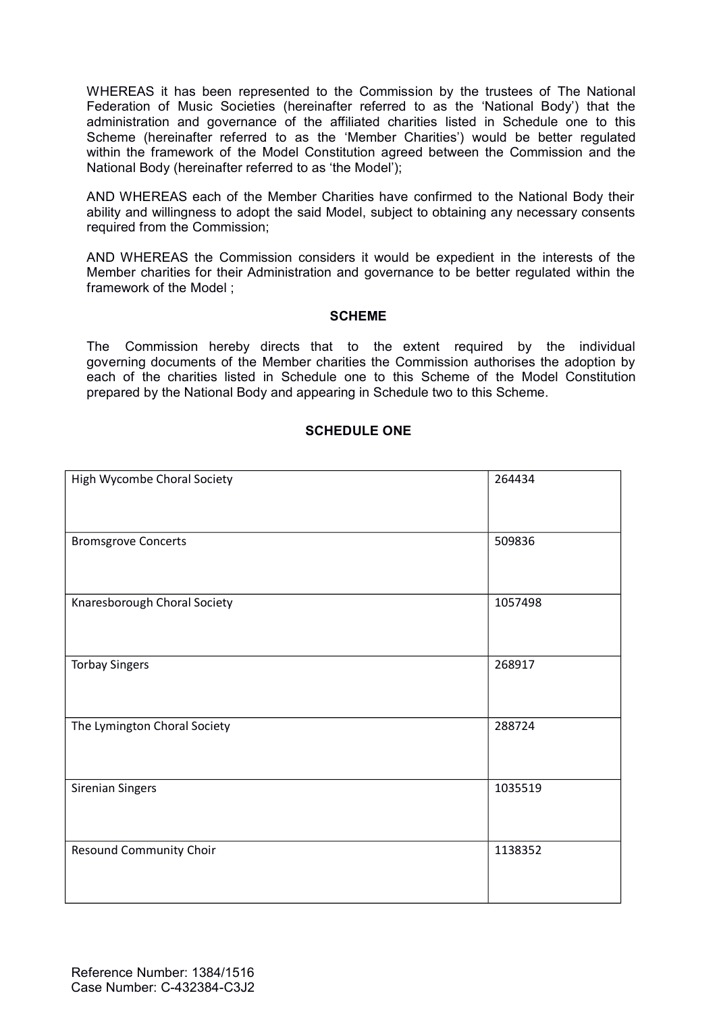WHEREAS it has been represented to the Commission by the trustees of The National Federation of Music Societies (hereinafter referred to as the 'National Body') that the administration and governance of the affiliated charities listed in Schedule one to this Scheme (hereinafter referred to as the 'Member Charities') would be better regulated within the framework of the Model Constitution agreed between the Commission and the National Body (hereinafter referred to as 'the Model');

AND WHEREAS each of the Member Charities have confirmed to the National Body their ability and willingness to adopt the said Model, subject to obtaining any necessary consents required from the Commission;

AND WHEREAS the Commission considers it would be expedient in the interests of the Member charities for their Administration and governance to be better regulated within the framework of the Model ;

#### **SCHEME**

The Commission hereby directs that to the extent required by the individual governing documents of the Member charities the Commission authorises the adoption by each of the charities listed in Schedule one to this Scheme of the Model Constitution prepared by the National Body and appearing in Schedule two to this Scheme.

#### **SCHEDULE ONE**

| High Wycombe Choral Society  | 264434  |
|------------------------------|---------|
| <b>Bromsgrove Concerts</b>   | 509836  |
| Knaresborough Choral Society | 1057498 |
| <b>Torbay Singers</b>        | 268917  |
| The Lymington Choral Society | 288724  |
| <b>Sirenian Singers</b>      | 1035519 |
| Resound Community Choir      | 1138352 |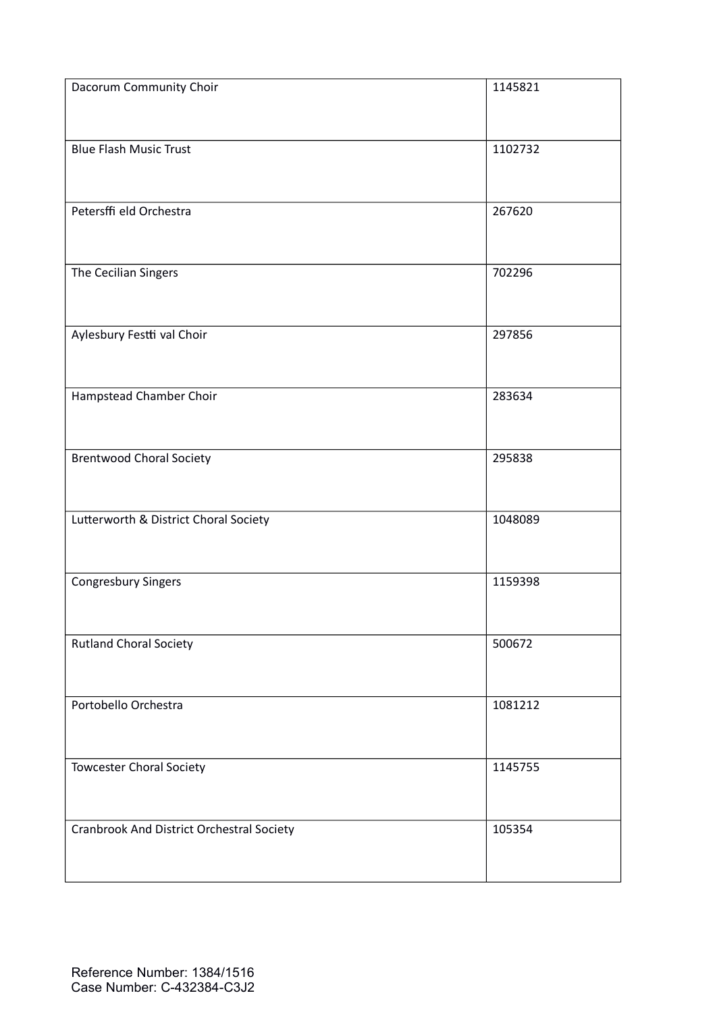| Dacorum Community Choir                   | 1145821 |
|-------------------------------------------|---------|
| <b>Blue Flash Music Trust</b>             | 1102732 |
| Petersffi eld Orchestra                   | 267620  |
| The Cecilian Singers                      | 702296  |
| Aylesbury Festti val Choir                | 297856  |
| Hampstead Chamber Choir                   | 283634  |
| <b>Brentwood Choral Society</b>           | 295838  |
| Lutterworth & District Choral Society     | 1048089 |
| <b>Congresbury Singers</b>                | 1159398 |
| <b>Rutland Choral Society</b>             | 500672  |
| Portobello Orchestra                      | 1081212 |
| <b>Towcester Choral Society</b>           | 1145755 |
| Cranbrook And District Orchestral Society | 105354  |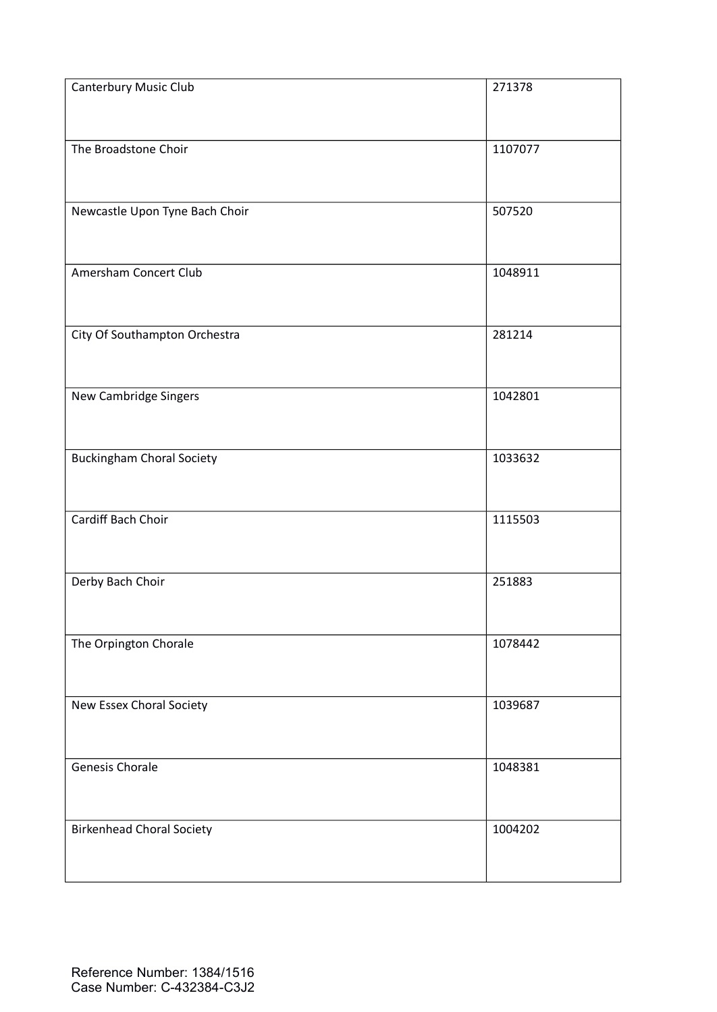| Canterbury Music Club            | 271378  |
|----------------------------------|---------|
| The Broadstone Choir             | 1107077 |
| Newcastle Upon Tyne Bach Choir   | 507520  |
| Amersham Concert Club            | 1048911 |
| City Of Southampton Orchestra    | 281214  |
| New Cambridge Singers            | 1042801 |
| <b>Buckingham Choral Society</b> | 1033632 |
| Cardiff Bach Choir               | 1115503 |
| Derby Bach Choir                 | 251883  |
| The Orpington Chorale            | 1078442 |
| New Essex Choral Society         | 1039687 |
| Genesis Chorale                  | 1048381 |
| <b>Birkenhead Choral Society</b> | 1004202 |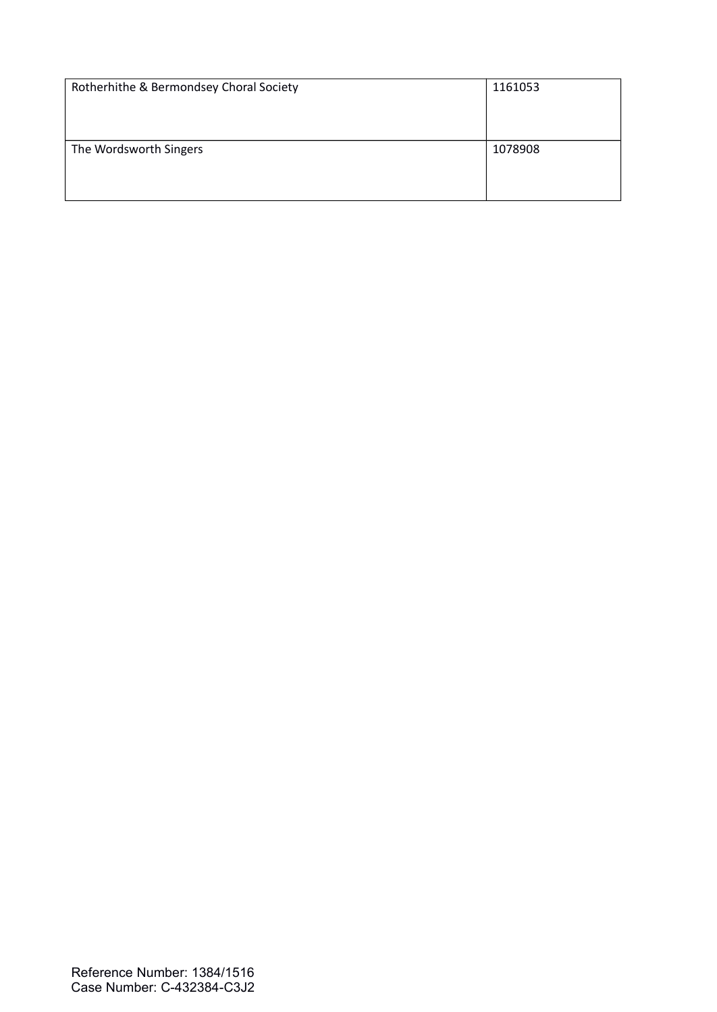| Rotherhithe & Bermondsey Choral Society | 1161053 |
|-----------------------------------------|---------|
|                                         |         |
|                                         |         |
|                                         |         |
| The Wordsworth Singers                  | 1078908 |
|                                         |         |
|                                         |         |
|                                         |         |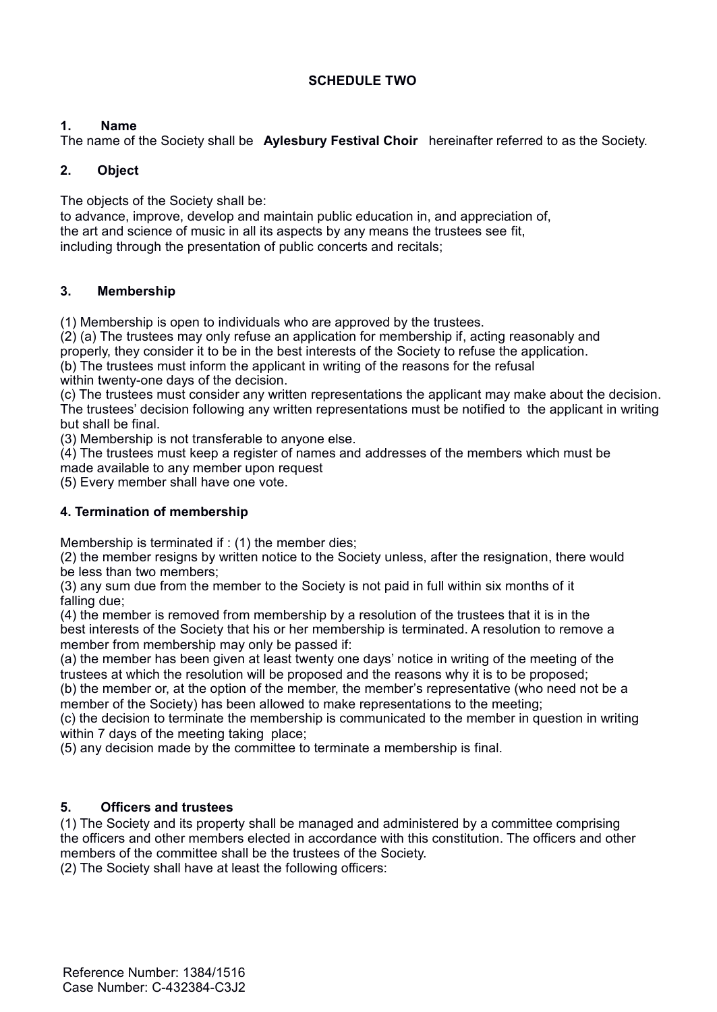## **SCHEDULE TWO**

## **1. Name**

The name of the Society shall be **Aylesbury Festival Choir** hereinafter referred to as the Society.

### **2. Object**

The objects of the Society shall be:

to advance, improve, develop and maintain public education in, and appreciation of, the art and science of music in all its aspects by any means the trustees see fit, including through the presentation of public concerts and recitals;

### **3. Membership**

(1) Membership is open to individuals who are approved by the trustees.

 $(2)$  (a) The trustees may only refuse an application for membership if, acting reasonably and

properly, they consider it to be in the best interests of the Society to refuse the application.

(b) The trustees must inform the applicant in writing of the reasons for the refusal within twenty-one days of the decision.

(c) The trustees must consider any written representations the applicant may make about the decision. The trustees' decision following any written representations must be notified to the applicant in writing but shall be final.

(3) Membership is not transferable to anyone else.

(4) The trustees must keep a register of names and addresses of the members which must be made available to any member upon request

(5) Every member shall have one vote.

## **4. Termination of membership**

Membership is terminated if : (1) the member dies:

(2) the member resigns by written notice to the Society unless, after the resignation, there would be less than two members;

(3) any sum due from the member to the Society is not paid in full within six months of it falling due;

(4) the member is removed from membership by a resolution of the trustees that it is in the best interests of the Society that his or her membership is terminated. A resolution to remove a member from membership may only be passed if:

(a) the member has been given at least twenty one days' notice in writing of the meeting of the trustees at which the resolution will be proposed and the reasons why it is to be proposed;

(b) the member or, at the option of the member, the member's representative (who need not be a member of the Society) has been allowed to make representations to the meeting;

(c) the decision to terminate the membership is communicated to the member in question in writing within 7 days of the meeting taking place;

(5) any decision made by the committee to terminate a membership is final.

#### **5. Officers and trustees**

(1) The Society and its property shall be managed and administered by a committee comprising the officers and other members elected in accordance with this constitution. The officers and other members of the committee shall be the trustees of the Society.

(2) The Society shall have at least the following officers: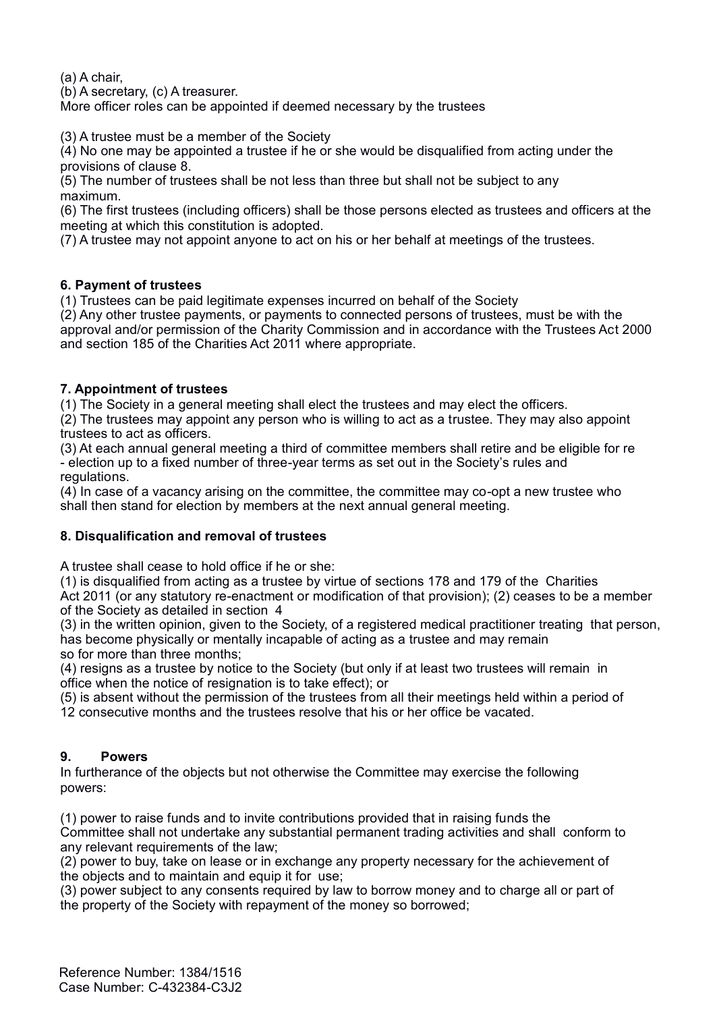(a) A chair,

(b) A secretary, (c) A treasurer.

More officer roles can be appointed if deemed necessary by the trustees

(3) A trustee must be a member of the Society

 $(4)$  No one may be appointed a trustee if he or she would be disqualified from acting under the provisions of clause 8.

(5) The number of trustees shall be not less than three but shall not be subject to any maximum.

(6) The first trustees (including officers) shall be those persons elected as trustees and officers at the meeting at which this constitution is adopted.

(7) A trustee may not appoint anyone to act on his or her behalf at meetings of the trustees.

### **6. Payment of trustees**

(1) Trustees can be paid legitimate expenses incurred on behalf of the Society

(2) Any other trustee payments, or payments to connected persons of trustees, must be with the approval and/or permission of the Charity Commission and in accordance with the Trustees Act 2000 and section 185 of the Charities Act 2011 where appropriate.

### **7. Appointment of trustees**

(1) The Society in a general meeting shall elect the trustees and may elect the officers.

(2) The trustees may appoint any person who is willing to act as a trustee. They may also appoint trustees to act as officers.

(3) At each annual general meeting a third of committee members shall retire and be eligible for re - election up to a fixed number of three-year terms as set out in the Society's rules and regulations.

(4) In case of a vacancy arising on the committee, the committee may co-opt a new trustee who shall then stand for election by members at the next annual general meeting.

# **8. Disqualification and removal of trustees**

A trustee shall cease to hold office if he or she:

(1) is disqualified from acting as a trustee by virtue of sections 178 and 179 of the Charities Act 2011 (or any statutory re-enactment or modification of that provision); (2) ceases to be a member of the Society as detailed in section 4

(3) in the written opinion, given to the Society, of a registered medical practitioner treating that person, has become physically or mentally incapable of acting as a trustee and may remain so for more than three months;

(4) resigns as a trustee by notice to the Society (but only if at least two trustees will remain in office when the notice of resignation is to take effect); or

(5) is absent without the permission of the trustees from all their meetings held within a period of

12 consecutive months and the trustees resolve that his or her office be vacated.

# **9. Powers**

In furtherance of the objects but not otherwise the Committee may exercise the following powers:

(1) power to raise funds and to invite contributions provided that in raising funds the Committee shall not undertake any substantial permanent trading activities and shall conform to any relevant requirements of the law;

(2) power to buy, take on lease or in exchange any property necessary for the achievement of the objects and to maintain and equip it for use;

(3) power subject to any consents required by law to borrow money and to charge all or part of the property of the Society with repayment of the money so borrowed;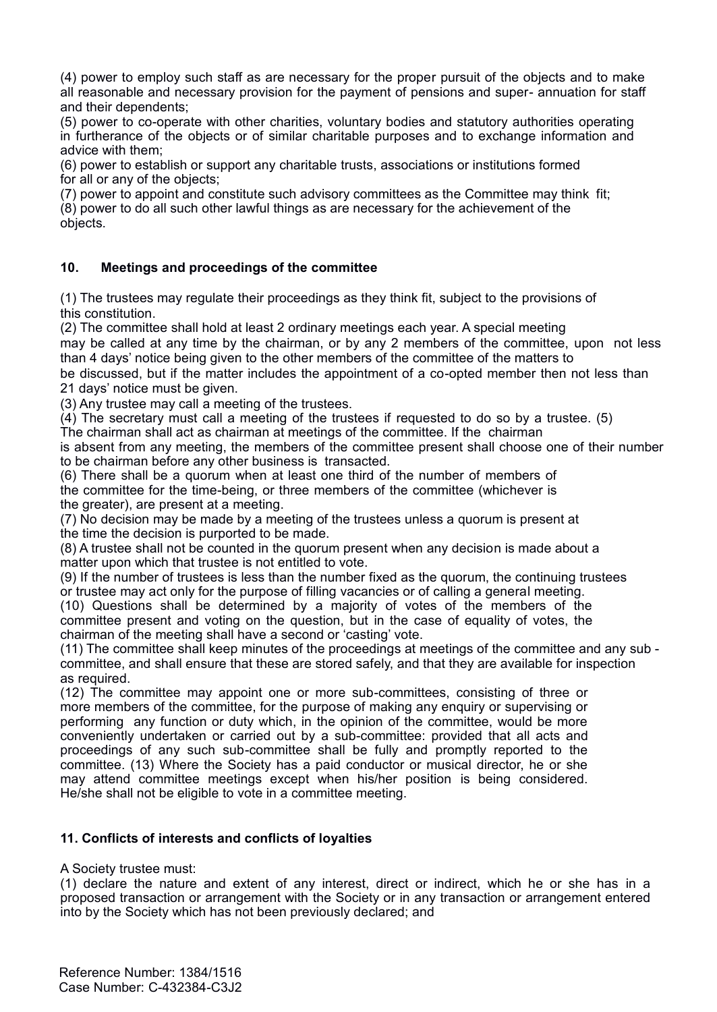(4) power to employ such staff as are necessary for the proper pursuit of the objects and to make all reasonable and necessary provision for the payment of pensions and super- annuation for staff and their dependents;

(5) power to co-operate with other charities, voluntary bodies and statutory authorities operating in furtherance of the objects or of similar charitable purposes and to exchange information and advice with them;

(6) power to establish or support any charitable trusts, associations or institutions formed for all or any of the objects;

(7) power to appoint and constitute such advisory committees as the Committee may think fit;

(8) power to do all such other lawful things as are necessary for the achievement of the objects.

### **10. Meetings and proceedings of the committee**

(1) The trustees may regulate their proceedings as they think fit, subject to the provisions of this constitution.

(2) The committee shall hold at least 2 ordinary meetings each year. A special meeting may be called at any time by the chairman, or by any 2 members of the committee, upon not less than 4 days' notice being given to the other members of the committee of the matters to

be discussed, but if the matter includes the appointment of a co-opted member then not less than 21 days' notice must be given.

(3) Any trustee may call a meeting of the trustees.

 $(4)$  The secretary must call a meeting of the trustees if requested to do so by a trustee. (5)

The chairman shall act as chairman at meetings of the committee. If the chairman is absent from any meeting, the members of the committee present shall choose one of their number to be chairman before any other business is transacted.

(6) There shall be a quorum when at least one third of the number of members of the committee for the time-being, or three members of the committee (whichever is the greater), are present at a meeting.

(7) No decision may be made by a meeting of the trustees unless a quorum is present at the time the decision is purported to be made.

(8) A trustee shall not be counted in the quorum present when any decision is made about a matter upon which that trustee is not entitled to vote.

(9) If the number of trustees is less than the number fixed as the quorum, the continuing trustees or trustee may act only for the purpose of filling vacancies or of calling a general meeting. (10) Questions shall be determined by a majority of votes of the members of the

committee present and voting on the question, but in the case of equality of votes, the chairman of the meeting shall have a second or 'casting' vote.

(11) The committee shall keep minutes of the proceedings at meetings of the committee and any sub committee, and shall ensure that these are stored safely, and that they are available for inspection as required.

(12) The committee may appoint one or more sub-committees, consisting of three or more members of the committee, for the purpose of making any enquiry or supervising or performing any function or duty which, in the opinion of the committee, would be more conveniently undertaken or carried out by a sub-committee: provided that all acts and proceedings of any such sub-committee shall be fully and promptly reported to the committee. (13) Where the Society has a paid conductor or musical director, he or she may attend committee meetings except when his/her position is being considered. He/she shall not be eligible to vote in a committee meeting.

# **11. Conflicts of interests and conflicts of loyalties**

#### A Society trustee must:

(1) declare the nature and extent of any interest, direct or indirect, which he or she has in a proposed transaction or arrangement with the Society or in any transaction or arrangement entered into by the Society which has not been previously declared; and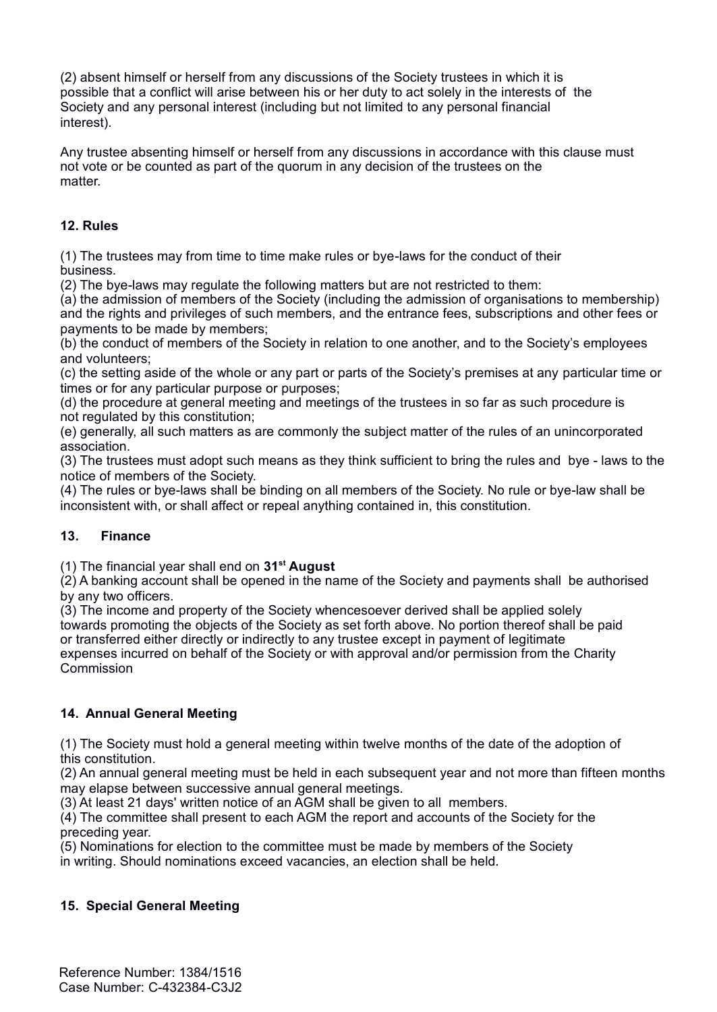(2) absent himself or herself from any discussions of the Society trustees in which it is possible that a conflict will arise between his or her duty to act solely in the interests of the Society and any personal interest (including but not limited to any personal financial interest).

Any trustee absenting himself or herself from any discussions in accordance with this clause must not vote or be counted as part of the quorum in any decision of the trustees on the matter.

## **12. Rules**

(1) The trustees may from time to time make rules or bye-laws for the conduct of their business.

(2) The bye-laws may regulate the following matters but are not restricted to them:

(a) the admission of members of the Society (including the admission of organisations to membership) and the rights and privileges of such members, and the entrance fees, subscriptions and other fees or payments to be made by members;

(b) the conduct of members of the Society in relation to one another, and to the Society's employees and volunteers;

(c) the setting aside of the whole or any part or parts of the Society's premises at any particular time or times or for any particular purpose or purposes;

(d) the procedure at general meeting and meetings of the trustees in so far as such procedure is not regulated by this constitution;

(e) generally, all such matters as are commonly the subject matter of the rules of an unincorporated association.

(3) The trustees must adopt such means as they think sufficient to bring the rules and bye - laws to the notice of members of the Society.

(4) The rules or bye-laws shall be binding on all members of the Society. No rule or bye-law shall be inconsistent with, or shall affect or repeal anything contained in, this constitution.

# **13. Finance**

(1) The financial year shall end on **31st August**

 $(2)$  A banking account shall be opened in the name of the Society and payments shall be authorised by any two officers.

(3) The income and property of the Society whencesoever derived shall be applied solely towards promoting the objects of the Society as set forth above. No portion thereof shall be paid or transferred either directly or indirectly to any trustee except in payment of legitimate expenses incurred on behalf of the Society or with approval and/or permission from the Charity Commission

# **14. Annual General Meeting**

(1) The Society must hold a general meeting within twelve months of the date of the adoption of this constitution.

(2) An annual general meeting must be held in each subsequent year and not more than fifteen months may elapse between successive annual general meetings.

(3) At least 21 days' written notice of an AGM shall be given to all members.

(4) The committee shall present to each AGM the report and accounts of the Society for the preceding year.

(5) Nominations for election to the committee must be made by members of the Society in writing. Should nominations exceed vacancies, an election shall be held.

# **15. Special General Meeting**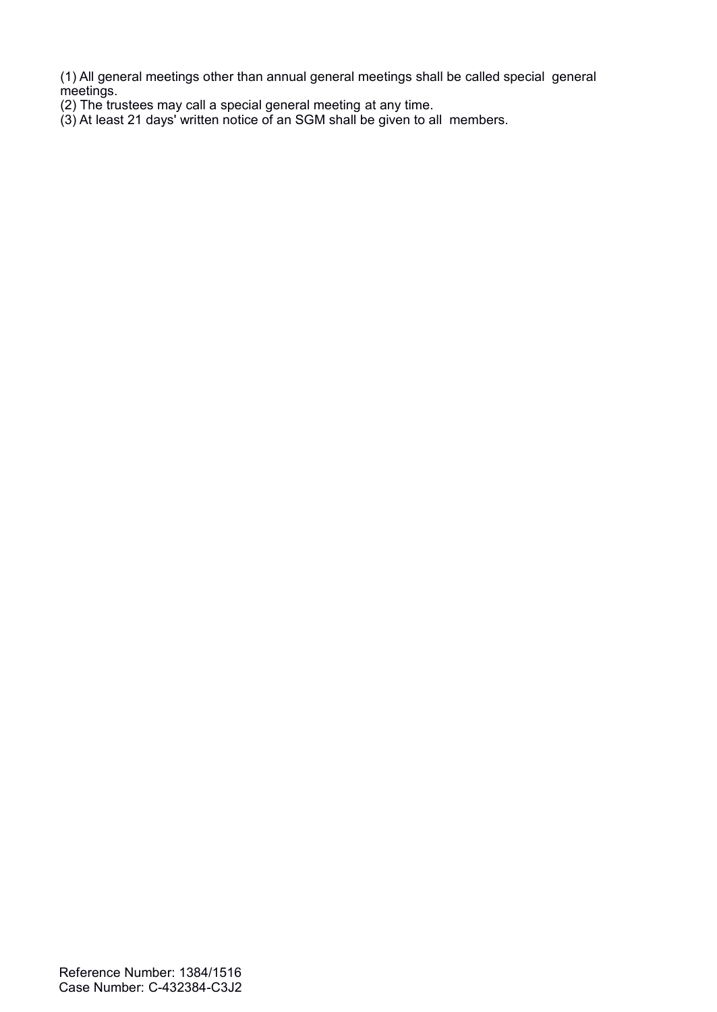(1) All general meetings other than annual general meetings shall be called special general  $m$ etings.

- (2) The trustees may call a special general meeting at any time.
- (3) At least 21 days' written notice of an SGM shall be given to all members.